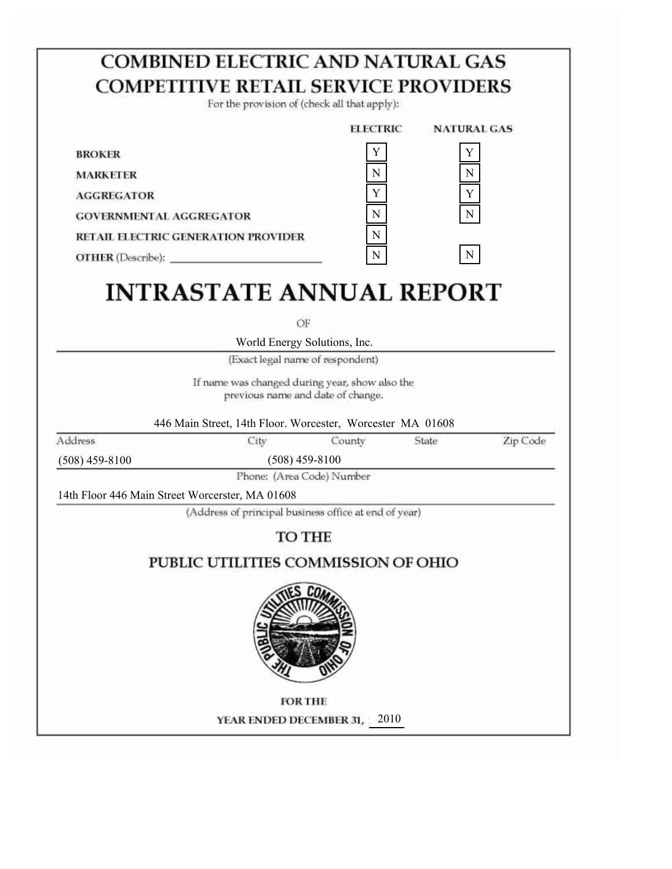|                                                 | <b>COMBINED ELECTRIC AND NATURAL GAS</b>                                                    |                 |                    |          |
|-------------------------------------------------|---------------------------------------------------------------------------------------------|-----------------|--------------------|----------|
|                                                 | <b>COMPETITIVE RETAIL SERVICE PROVIDERS</b><br>For the provision of (check all that apply): |                 |                    |          |
|                                                 |                                                                                             | <b>ELECTRIC</b> | <b>NATURAL GAS</b> |          |
| <b>BROKER</b>                                   |                                                                                             | Y               | Y                  |          |
| <b>MARKETER</b>                                 |                                                                                             | N               | $\mathbf N$        |          |
| <b>AGGREGATOR</b>                               |                                                                                             | Y               | Y                  |          |
| <b>GOVERNMENTAL AGGREGATOR</b>                  |                                                                                             | ${\bf N}$       | N                  |          |
|                                                 | RETAIL ELECTRIC GENERATION PROVIDER                                                         | ${\bf N}$       |                    |          |
| <b>OTHER</b> (Describe):                        |                                                                                             | ${\bf N}$       | $\mathbf N$        |          |
|                                                 | <b>INTRASTATE ANNUAL REPORT</b><br>ОF                                                       |                 |                    |          |
|                                                 | World Energy Solutions, Inc.                                                                |                 |                    |          |
|                                                 | (Exact legal name of respondent)                                                            |                 |                    |          |
|                                                 | If name was changed during year, show also the<br>previous name and date of change.         |                 |                    |          |
| Address                                         | 446 Main Street, 14th Floor. Worcester, Worcester MA 01608<br>City                          | County          | State              | Zip Code |
| $(508)$ 459-8100                                | $(508)$ 459-8100                                                                            |                 |                    |          |
|                                                 | Phone: (Area Code) Number                                                                   |                 |                    |          |
|                                                 |                                                                                             |                 |                    |          |
|                                                 |                                                                                             |                 |                    |          |
|                                                 | (Address of principal business office at end of year)                                       |                 |                    |          |
|                                                 | <b>TO THE</b>                                                                               |                 |                    |          |
| 14th Floor 446 Main Street Worcerster, MA 01608 | PUBLIC UTILITIES COMMISSION OF OHIO                                                         |                 |                    |          |
|                                                 |                                                                                             |                 |                    |          |
|                                                 | <b>FOR THE</b>                                                                              |                 |                    |          |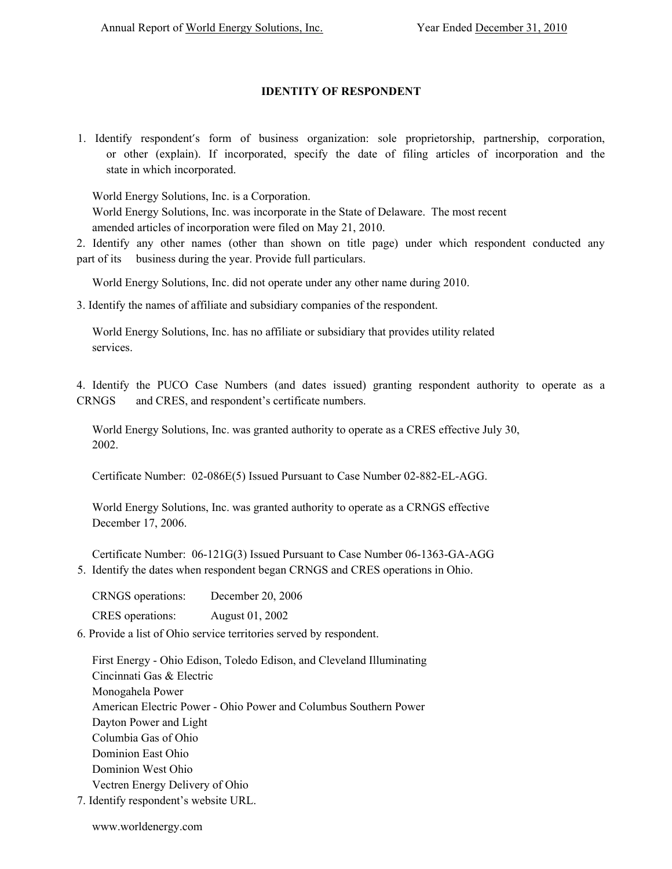# **IDENTITY OF RESPONDENT**

1. Identify respondent's form of business organization: sole proprietorship, partnership, corporation, or other (explain). If incorporated, specify the date of filing articles of incorporation and the state in which incorporated.

World Energy Solutions, Inc. is a Corporation.

World Energy Solutions, Inc. was incorporate in the State of Delaware. The most recent amended articles of incorporation were filed on May 21, 2010.

2. Identify any other names (other than shown on title page) under which respondent conducted any part of its business during the year. Provide full particulars.

World Energy Solutions, Inc. did not operate under any other name during 2010.

3. Identify the names of affiliate and subsidiary companies of the respondent.

World Energy Solutions, Inc. has no affiliate or subsidiary that provides utility related services.

4. Identify the PUCO Case Numbers (and dates issued) granting respondent authority to operate as a CRNGS and CRES, and respondent's certificate numbers.

World Energy Solutions, Inc. was granted authority to operate as a CRES effective July 30, 2002.

Certificate Number: 02-086E(5) Issued Pursuant to Case Number 02-882-EL-AGG.

World Energy Solutions, Inc. was granted authority to operate as a CRNGS effective December 17, 2006.

Certificate Number: 06-121G(3) Issued Pursuant to Case Number 06-1363-GA-AGG 5. Identify the dates when respondent began CRNGS and CRES operations in Ohio.

| <b>CRNGS</b> operations: | December 20, 2006 |
|--------------------------|-------------------|
| <b>CRES</b> operations:  | August 01, 2002   |

6. Provide a list of Ohio service territories served by respondent.

First Energy - Ohio Edison, Toledo Edison, and Cleveland Illuminating Cincinnati Gas & Electric Monogahela Power American Electric Power - Ohio Power and Columbus Southern Power Dayton Power and Light Columbia Gas of Ohio Dominion East Ohio Dominion West Ohio Vectren Energy Delivery of Ohio

7. Identify respondent's website URL.

www.worldenergy.com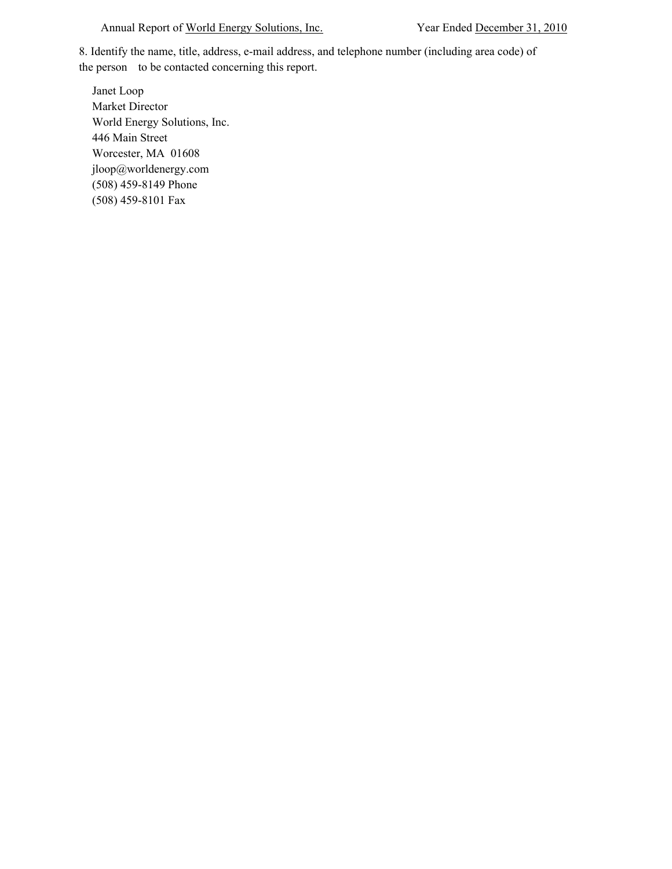## Annual Report of World Energy Solutions, Inc. Year Ended December 31, 2010

8. Identify the name, title, address, e-mail address, and telephone number (including area code) of the person to be contacted concerning this report.

Janet Loop Market Director World Energy Solutions, Inc. 446 Main Street Worcester, MA 01608 jloop@worldenergy.com (508) 459-8149 Phone (508) 459-8101 Fax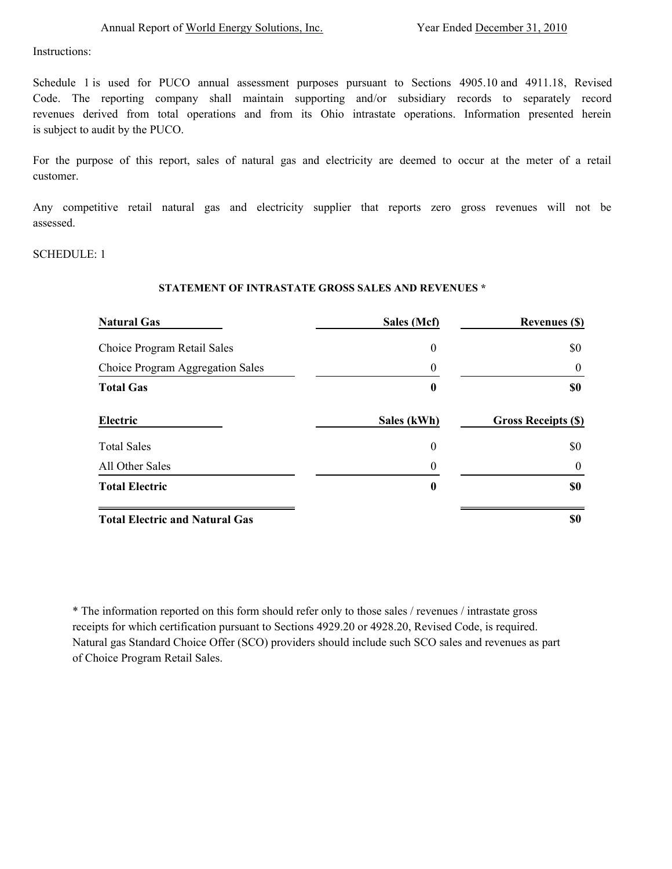**\$0** 

Instructions:

Schedule 1 is used for PUCO annual assessment purposes pursuant to Sections 4905.10 and 4911.18, Revised Code. The reporting company shall maintain supporting and/or subsidiary records to separately record revenues derived from total operations and from its Ohio intrastate operations. Information presented herein is subject to audit by the PUCO.

For the purpose of this report, sales of natural gas and electricity are deemed to occur at the meter of a retail customer.

Any competitive retail natural gas and electricity supplier that reports zero gross revenues will not be assessed.

SCHEDULE: 1

## **STATEMENT OF INTRASTATE GROSS SALES AND REVENUES \***

| <b>Natural Gas</b>               | Sales (Mcf)      | <b>Revenues (\$)</b>                   |
|----------------------------------|------------------|----------------------------------------|
| Choice Program Retail Sales      | $\boldsymbol{0}$ | \$0                                    |
| Choice Program Aggregation Sales | 0                | $\theta$                               |
| <b>Total Gas</b>                 | 0                | \$0                                    |
|                                  |                  |                                        |
| Electric                         | Sales (kWh)      |                                        |
| <b>Total Sales</b>               | $\boldsymbol{0}$ | \$0                                    |
| All Other Sales                  | 0                | <b>Gross Receipts (\$)</b><br>$\theta$ |

**Total Electric and Natural Gas**

\* The information reported on this form should refer only to those sales / revenues / intrastate gross receipts for which certification pursuant to Sections 4929.20 or 4928.20, Revised Code, is required. Natural gas Standard Choice Offer (SCO) providers should include such SCO sales and revenues as part of Choice Program Retail Sales.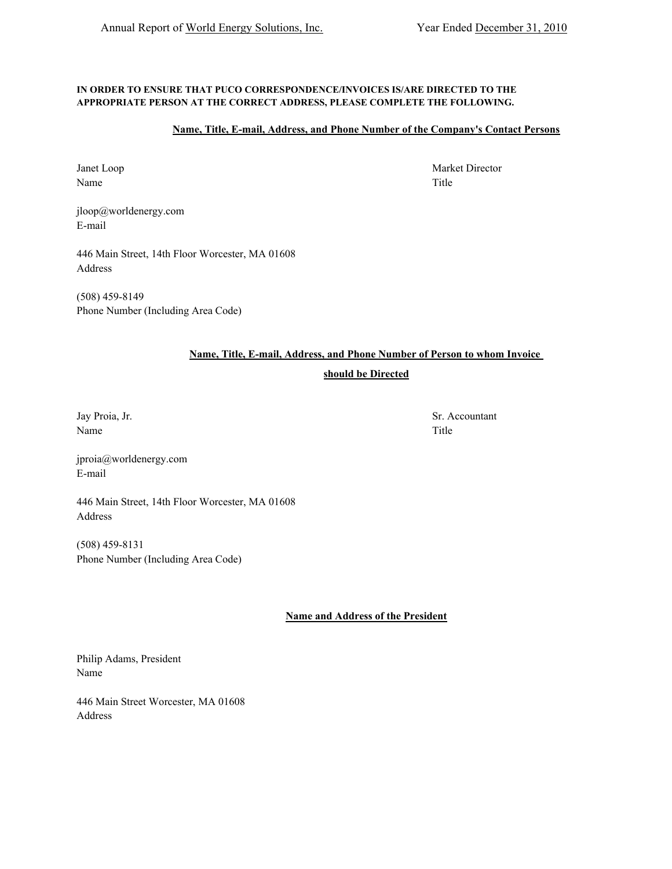### **IN ORDER TO ENSURE THAT PUCO CORRESPONDENCE/INVOICES IS/ARE DIRECTED TO THE APPROPRIATE PERSON AT THE CORRECT ADDRESS, PLEASE COMPLETE THE FOLLOWING.**

## **Name, Title, E-mail, Address, and Phone Number of the Company's Contact Persons**

Name Title

jloop@worldenergy.com E-mail

446 Main Street, 14th Floor Worcester, MA 01608 Address

(508) 459-8149 Phone Number (Including Area Code)

## **Name, Title, E-mail, Address, and Phone Number of Person to whom Invoice**

## **should be Directed**

Name Title

jproia@worldenergy.com E-mail

446 Main Street, 14th Floor Worcester, MA 01608 Address

(508) 459-8131 Phone Number (Including Area Code)

**Name and Address of the President**

Philip Adams, President Name

446 Main Street Worcester, MA 01608 Address

Janet Loop Market Director

Jay Proia, Jr. Sr. Accountant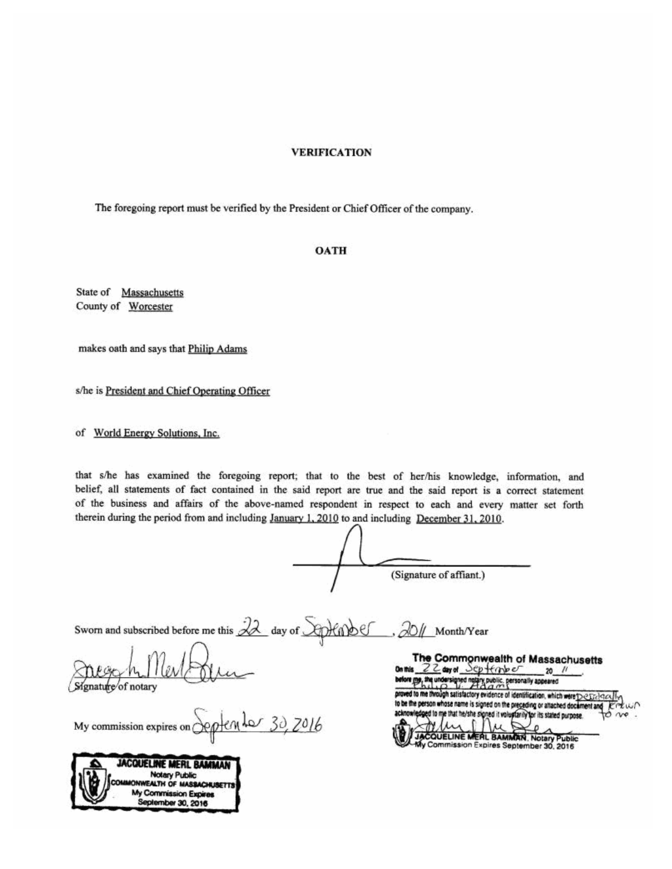## **VERIFICATION**

The foregoing report must be verified by the President or Chief Officer of the company.

#### **OATH**

State of Massachusetts County of Worcester

makes oath and says that Philip Adams

s/he is President and Chief Operating Officer

of World Energy Solutions, Inc.

that s/he has examined the foregoing report; that to the best of her/his knowledge, information, and belief, all statements of fact contained in the said report are true and the said report is a correct statement of the business and affairs of the above-named respondent in respect to each and every matter set forth therein during the period from and including January 1, 2010 to and including December 31, 2010.

(Signature of affiant.)

Sworn and subscribed before me this 22 day of Aphabel , 20// Month/Year

gnature of notary

ence My commission expires on  $\subset$ 

| JACQUELINE MERL BAMMAN                      |
|---------------------------------------------|
| <b>Notary Public</b>                        |
| WEALTH OF MASSACHUSETTS                     |
| My Commission Expires<br>September 30, 2016 |
|                                             |

The Commonwealth of Massachusetts 22 and September On this  $-20$  // before me, the undersigned natary public, personally appeared of to me through satisfactory evidence of identification, which were DeDelstex to be the person whose name is signed on the preceding or attached document and d to me that he/she si ned it voluplarily for its stated purpose. o ve **COUELINE MERL BAMMAN, Notary** ublic Commission Expires September 30, 2016